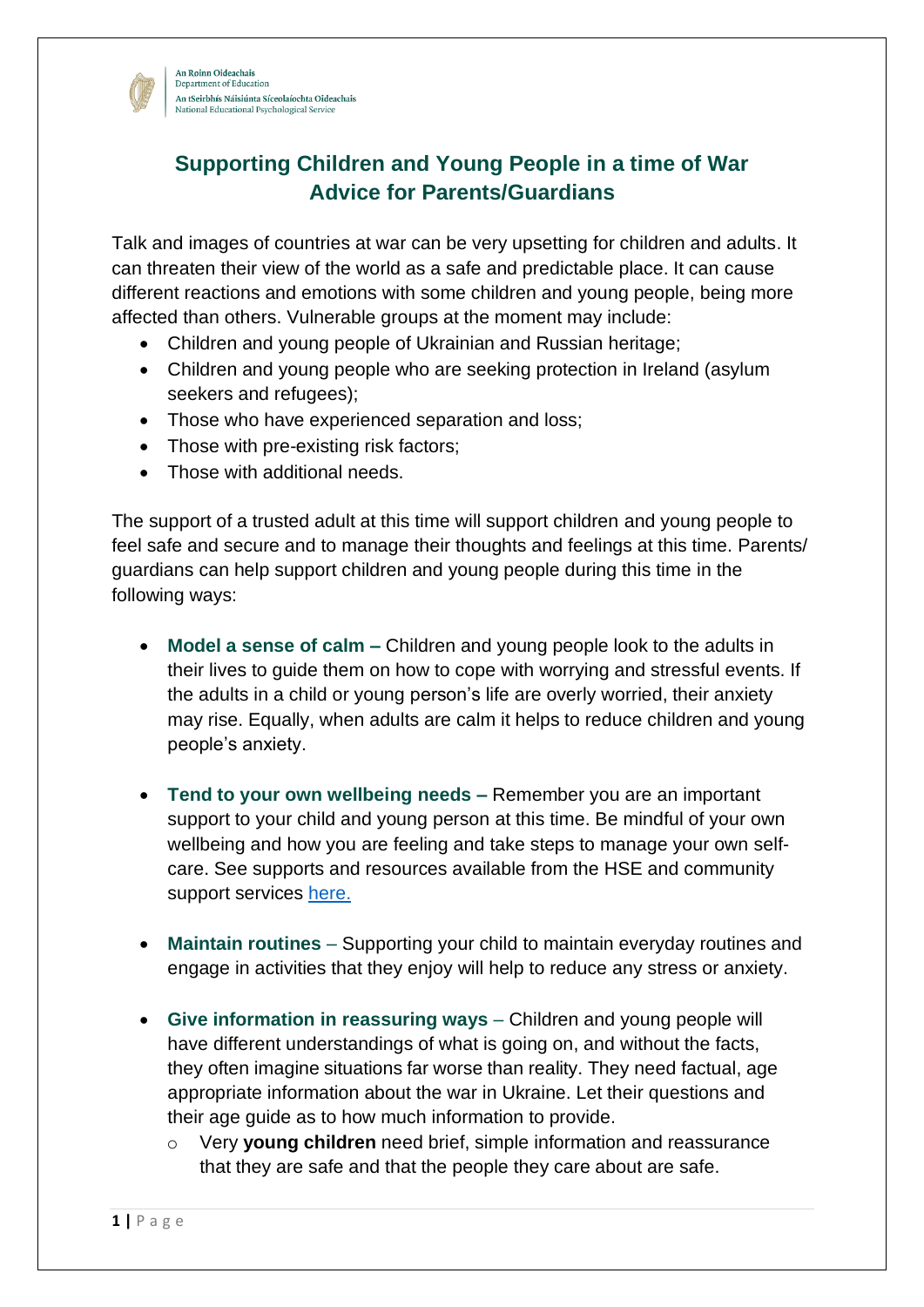

An Roinn Oideachais Department of Education An tSeirbhís Náisiúnta Síceolaíochta Oideachais National Educational Psychological Service

## **Supporting Children and Young People in a time of War Advice for Parents/Guardians**

Talk and images of countries at war can be very upsetting for children and adults. It can threaten their view of the world as a safe and predictable place. It can cause different reactions and emotions with some children and young people, being more affected than others. Vulnerable groups at the moment may include:

- Children and young people of Ukrainian and Russian heritage;
- Children and young people who are seeking protection in Ireland (asylum seekers and refugees);
- Those who have experienced separation and loss;
- Those with pre-existing risk factors;
- Those with additional needs.

The support of a trusted adult at this time will support children and young people to feel safe and secure and to manage their thoughts and feelings at this time. Parents/ guardians can help support children and young people during this time in the following ways:

- **Model a sense of calm –** Children and young people look to the adults in their lives to guide them on how to cope with worrying and stressful events. If the adults in a child or young person's life are overly worried, their anxiety may rise. Equally, when adults are calm it helps to reduce children and young people's anxiety.
- **Tend to your own wellbeing needs –** Remember you are an important support to your child and young person at this time. Be mindful of your own wellbeing and how you are feeling and take steps to manage your own selfcare. See supports and resources available from the HSE and community support services [here.](https://www2.hse.ie/mental-health/)
- **Maintain routines**  Supporting your child to maintain everyday routines and engage in activities that they enjoy will help to reduce any stress or anxiety.
- Give information in reassuring ways Children and young people will have different understandings of what is going on, and without the facts, they often imagine situations far worse than reality. They need factual, age appropriate information about the war in Ukraine. Let their questions and their age guide as to how much information to provide.
	- o Very **young children** need brief, simple information and reassurance that they are safe and that the people they care about are safe.